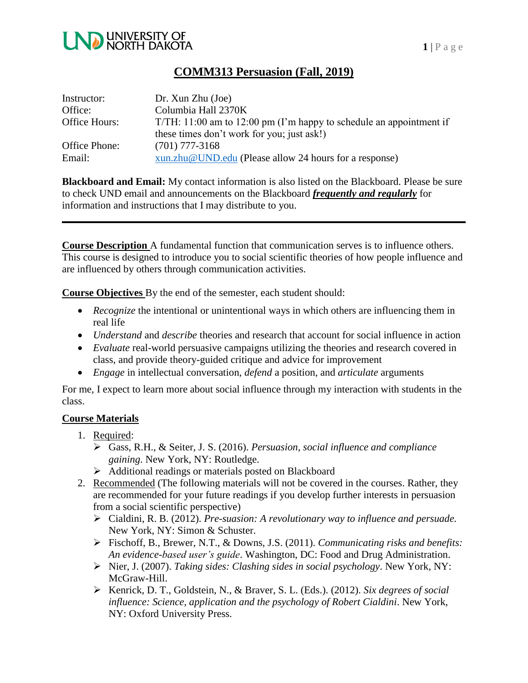

## **COMM313 Persuasion (Fall, 2019)**

| Instructor:   | Dr. Xun Zhu (Joe)                                                     |
|---------------|-----------------------------------------------------------------------|
| Office:       | Columbia Hall 2370K                                                   |
| Office Hours: | $T/TH: 11:00$ am to 12:00 pm (I'm happy to schedule an appointment if |
|               | these times don't work for you; just ask!)                            |
| Office Phone: | $(701)$ 777-3168                                                      |
| Email:        | xun.zhu@UND.edu (Please allow 24 hours for a response)                |

**Blackboard and Email:** My contact information is also listed on the Blackboard. Please be sure to check UND email and announcements on the Blackboard *frequently and regularly* for information and instructions that I may distribute to you.

**Course Description** A fundamental function that communication serves is to influence others. This course is designed to introduce you to social scientific theories of how people influence and are influenced by others through communication activities.

**Course Objectives** By the end of the semester, each student should:

- *Recognize* the intentional or unintentional ways in which others are influencing them in real life
- *Understand* and *describe* theories and research that account for social influence in action
- *Evaluate* real-world persuasive campaigns utilizing the theories and research covered in class, and provide theory-guided critique and advice for improvement
- *Engage* in intellectual conversation, *defend* a position, and *articulate* arguments

For me, I expect to learn more about social influence through my interaction with students in the class.

#### **Course Materials**

- 1. Required:
	- Gass, R.H., & Seiter, J. S. (2016). *Persuasion, social influence and compliance gaining*. New York, NY: Routledge.
	- Additional readings or materials posted on Blackboard
- 2. Recommended (The following materials will not be covered in the courses. Rather, they are recommended for your future readings if you develop further interests in persuasion from a social scientific perspective)
	- Cialdini, R. B. (2012). *Pre-suasion: A revolutionary way to influence and persuade.* New York, NY: Simon & Schuster.
	- Fischoff, B., Brewer, N.T., & Downs, J.S. (2011). *Communicating risks and benefits: An evidence-based user's guide*. Washington, DC: Food and Drug Administration.
	- Nier, J. (2007). *Taking sides: Clashing sides in social psychology*. New York, NY: McGraw-Hill.
	- Kenrick, D. T., Goldstein, N., & Braver, S. L. (Eds.). (2012). *Six degrees of social influence: Science, application and the psychology of Robert Cialdini*. New York, NY: Oxford University Press.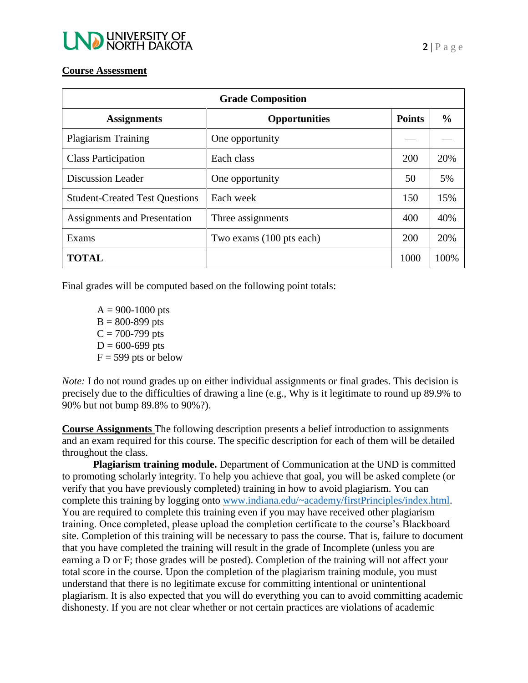

#### **Course Assessment**

| <b>Grade Composition</b>              |                          |               |               |  |  |  |
|---------------------------------------|--------------------------|---------------|---------------|--|--|--|
| <b>Assignments</b>                    | <b>Opportunities</b>     | <b>Points</b> | $\frac{6}{6}$ |  |  |  |
| <b>Plagiarism Training</b>            | One opportunity          |               |               |  |  |  |
| <b>Class Participation</b>            | Each class               | 200           | 20%           |  |  |  |
| <b>Discussion Leader</b>              | One opportunity          | 50            | 5%            |  |  |  |
| <b>Student-Created Test Questions</b> | Each week                | 150           | 15%           |  |  |  |
| Assignments and Presentation          | Three assignments        | 400           | 40%           |  |  |  |
| Exams                                 | Two exams (100 pts each) | 200           | 20%           |  |  |  |
| <b>TOTAL</b>                          |                          | 1000          | 100%          |  |  |  |

Final grades will be computed based on the following point totals:

 $A = 900 - 1000$  pts  $B = 800 - 899$  pts  $C = 700 - 799$  pts  $D = 600 - 699$  pts  $F = 599$  pts or below

*Note:* I do not round grades up on either individual assignments or final grades. This decision is precisely due to the difficulties of drawing a line (e.g., Why is it legitimate to round up 89.9% to 90% but not bump 89.8% to 90%?).

**Course Assignments** The following description presents a belief introduction to assignments and an exam required for this course. The specific description for each of them will be detailed throughout the class.

**Plagiarism training module.** Department of Communication at the UND is committed to promoting scholarly integrity. To help you achieve that goal, you will be asked complete (or verify that you have previously completed) training in how to avoid plagiarism. You can complete this training by logging onto [www.indiana.edu/~academy/firstPrinciples/index.html.](http://www.indiana.edu/~academy/firstPrinciples/index.html) You are required to complete this training even if you may have received other plagiarism training. Once completed, please upload the completion certificate to the course's Blackboard site. Completion of this training will be necessary to pass the course. That is, failure to document that you have completed the training will result in the grade of Incomplete (unless you are earning a D or F; those grades will be posted). Completion of the training will not affect your total score in the course. Upon the completion of the plagiarism training module, you must understand that there is no legitimate excuse for committing intentional or unintentional plagiarism. It is also expected that you will do everything you can to avoid committing academic dishonesty. If you are not clear whether or not certain practices are violations of academic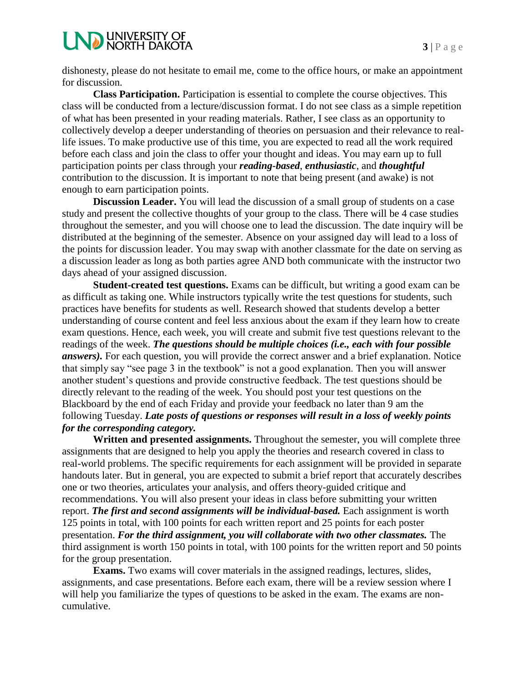# **LND UNIVERSITY OF**

dishonesty, please do not hesitate to email me, come to the office hours, or make an appointment for discussion.

**Class Participation.** Participation is essential to complete the course objectives. This class will be conducted from a lecture/discussion format. I do not see class as a simple repetition of what has been presented in your reading materials. Rather, I see class as an opportunity to collectively develop a deeper understanding of theories on persuasion and their relevance to reallife issues. To make productive use of this time, you are expected to read all the work required before each class and join the class to offer your thought and ideas. You may earn up to full participation points per class through your *reading-based*, *enthusiastic*, and *thoughtful* contribution to the discussion. It is important to note that being present (and awake) is not enough to earn participation points.

**Discussion Leader.** You will lead the discussion of a small group of students on a case study and present the collective thoughts of your group to the class. There will be 4 case studies throughout the semester, and you will choose one to lead the discussion. The date inquiry will be distributed at the beginning of the semester. Absence on your assigned day will lead to a loss of the points for discussion leader. You may swap with another classmate for the date on serving as a discussion leader as long as both parties agree AND both communicate with the instructor two days ahead of your assigned discussion.

**Student-created test questions.** Exams can be difficult, but writing a good exam can be as difficult as taking one. While instructors typically write the test questions for students, such practices have benefits for students as well. Research showed that students develop a better understanding of course content and feel less anxious about the exam if they learn how to create exam questions. Hence, each week, you will create and submit five test questions relevant to the readings of the week. *The questions should be multiple choices (i.e., each with four possible answers).* For each question, you will provide the correct answer and a brief explanation. Notice that simply say "see page 3 in the textbook" is not a good explanation. Then you will answer another student's questions and provide constructive feedback. The test questions should be directly relevant to the reading of the week. You should post your test questions on the Blackboard by the end of each Friday and provide your feedback no later than 9 am the following Tuesday. *Late posts of questions or responses will result in a loss of weekly points for the corresponding category.*

**Written and presented assignments.** Throughout the semester, you will complete three assignments that are designed to help you apply the theories and research covered in class to real-world problems. The specific requirements for each assignment will be provided in separate handouts later. But in general, you are expected to submit a brief report that accurately describes one or two theories, articulates your analysis, and offers theory-guided critique and recommendations. You will also present your ideas in class before submitting your written report. *The first and second assignments will be individual-based.* Each assignment is worth 125 points in total, with 100 points for each written report and 25 points for each poster presentation. *For the third assignment, you will collaborate with two other classmates.* The third assignment is worth 150 points in total, with 100 points for the written report and 50 points for the group presentation.

**Exams.** Two exams will cover materials in the assigned readings, lectures, slides, assignments, and case presentations. Before each exam, there will be a review session where I will help you familiarize the types of questions to be asked in the exam. The exams are noncumulative.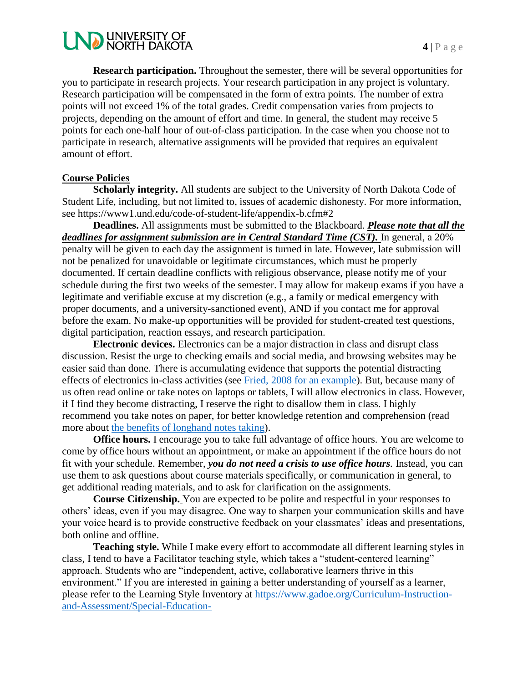

**Research participation.** Throughout the semester, there will be several opportunities for you to participate in research projects. Your research participation in any project is voluntary. Research participation will be compensated in the form of extra points. The number of extra points will not exceed 1% of the total grades. Credit compensation varies from projects to projects, depending on the amount of effort and time. In general, the student may receive 5 points for each one-half hour of out-of-class participation. In the case when you choose not to participate in research, alternative assignments will be provided that requires an equivalent amount of effort.

#### **Course Policies**

Scholarly integrity. All students are subject to the University of North Dakota Code of Student Life, including, but not limited to, issues of academic dishonesty. For more information, see https://www1.und.edu/code-of-student-life/appendix-b.cfm#2

**Deadlines.** All assignments must be submitted to the Blackboard. *Please note that all the deadlines for assignment submission are in Central Standard Time (CST).* In general, a 20% penalty will be given to each day the assignment is turned in late. However, late submission will not be penalized for unavoidable or legitimate circumstances, which must be properly documented. If certain deadline conflicts with religious observance, please notify me of your schedule during the first two weeks of the semester. I may allow for makeup exams if you have a legitimate and verifiable excuse at my discretion (e.g., a family or medical emergency with proper documents, and a university-sanctioned event), AND if you contact me for approval before the exam. No make-up opportunities will be provided for student-created test questions, digital participation, reaction essays, and research participation.

**Electronic devices.** Electronics can be a major distraction in class and disrupt class discussion. Resist the urge to checking emails and social media, and browsing websites may be easier said than done. There is accumulating evidence that supports the potential distracting effects of electronics in-class activities (see [Fried, 2008 for an example\)](https://www.sciencedirect.com/science/article/pii/S0360131506001436). But, because many of us often read online or take notes on laptops or tablets, I will allow electronics in class. However, if I find they become distracting, I reserve the right to disallow them in class. I highly recommend you take notes on paper, for better knowledge retention and comprehension (read more about [the benefits of longhand notes taking\)](https://www.scientificamerican.com/article/a-learning-secret-don-t-take-notes-with-a-laptop/).

**Office hours.** I encourage you to take full advantage of office hours. You are welcome to come by office hours without an appointment, or make an appointment if the office hours do not fit with your schedule. Remember, *you do not need a crisis to use office hours.* Instead, you can use them to ask questions about course materials specifically, or communication in general, to get additional reading materials, and to ask for clarification on the assignments.

**Course Citizenship.** You are expected to be polite and respectful in your responses to others' ideas, even if you may disagree. One way to sharpen your communication skills and have your voice heard is to provide constructive feedback on your classmates' ideas and presentations, both online and offline.

**Teaching style.** While I make every effort to accommodate all different learning styles in class, I tend to have a Facilitator teaching style, which takes a "student-centered learning" approach. Students who are "independent, active, collaborative learners thrive in this environment." If you are interested in gaining a better understanding of yourself as a learner, please refer to the Learning Style Inventory at [https://www.gadoe.org/Curriculum-Instruction](https://www.gadoe.org/Curriculum-Instruction-and-Assessment/Special-Education-Services/Documents/IDEAS%202014%20Handouts/LearningStyleInventory.pdf)[and-Assessment/Special-Education-](https://www.gadoe.org/Curriculum-Instruction-and-Assessment/Special-Education-Services/Documents/IDEAS%202014%20Handouts/LearningStyleInventory.pdf)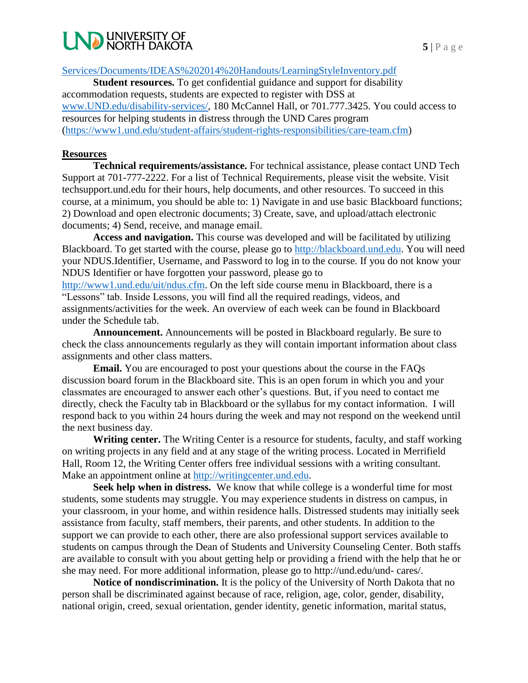## **NO UNIVERSITY OF NORTH DAKOTA**

[Services/Documents/IDEAS%202014%20Handouts/LearningStyleInventory.pdf](https://www.gadoe.org/Curriculum-Instruction-and-Assessment/Special-Education-Services/Documents/IDEAS%202014%20Handouts/LearningStyleInventory.pdf)

**Student resources.** To get confidential guidance and support for disability accommodation requests, students are expected to register with DSS at [www.UND.edu/disability-services/,](http://www.und.edu/disability-services/) 180 McCannel Hall, or 701.777.3425. You could access to resources for helping students in distress through the UND Cares program [\(https://www1.und.edu/student-affairs/student-rights-responsibilities/care-team.cfm\)](https://www1.und.edu/student-affairs/student-rights-responsibilities/care-team.cfm)

#### **Resources**

**Technical requirements/assistance.** For technical assistance, please contact UND Tech Support at 701-777-2222. For a list of Technical Requirements, please visit the website. Visit techsupport.und.edu for their hours, help documents, and other resources. To succeed in this course, at a minimum, you should be able to: 1) Navigate in and use basic Blackboard functions; 2) Download and open electronic documents; 3) Create, save, and upload/attach electronic documents; 4) Send, receive, and manage email.

**Access and navigation.** This course was developed and will be facilitated by utilizing Blackboard. To get started with the course, please go to [http://blackboard.und.edu.](http://blackboard.und.edu/) You will need your NDUS.Identifier, Username, and Password to log in to the course. If you do not know your NDUS Identifier or have forgotten your password, please go to

[http://www1.und.edu/uit/ndus.cfm.](http://www1.und.edu/uit/ndus.cfm) On the left side course menu in Blackboard, there is a "Lessons" tab. Inside Lessons, you will find all the required readings, videos, and assignments/activities for the week. An overview of each week can be found in Blackboard under the Schedule tab.

**Announcement.** Announcements will be posted in Blackboard regularly. Be sure to check the class announcements regularly as they will contain important information about class assignments and other class matters.

**Email.** You are encouraged to post your questions about the course in the FAQs discussion board forum in the Blackboard site. This is an open forum in which you and your classmates are encouraged to answer each other's questions. But, if you need to contact me directly, check the Faculty tab in Blackboard or the syllabus for my contact information. I will respond back to you within 24 hours during the week and may not respond on the weekend until the next business day.

**Writing center.** The Writing Center is a resource for students, faculty, and staff working on writing projects in any field and at any stage of the writing process. Located in Merrifield Hall, Room 12, the Writing Center offers free individual sessions with a writing consultant. Make an appointment online at [http://writingcenter.und.edu.](http://writingcenter.und.edu/)

**Seek help when in distress.** We know that while college is a wonderful time for most students, some students may struggle. You may experience students in distress on campus, in your classroom, in your home, and within residence halls. Distressed students may initially seek assistance from faculty, staff members, their parents, and other students. In addition to the support we can provide to each other, there are also professional support services available to students on campus through the Dean of Students and University Counseling Center. Both staffs are available to consult with you about getting help or providing a friend with the help that he or she may need. For more additional information, please go to http://und.edu/und- cares/.

**Notice of nondiscrimination.** It is the policy of the University of North Dakota that no person shall be discriminated against because of race, religion, age, color, gender, disability, national origin, creed, sexual orientation, gender identity, genetic information, marital status,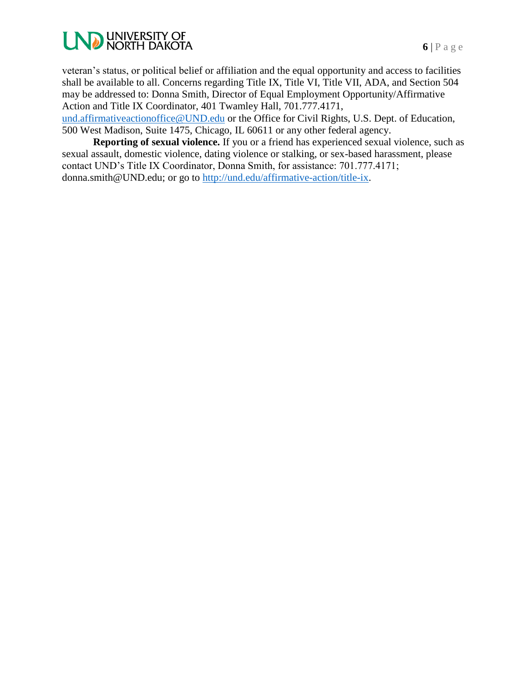

veteran's status, or political belief or affiliation and the equal opportunity and access to facilities shall be available to all. Concerns regarding Title IX, Title VI, Title VII, ADA, and Section 504 may be addressed to: Donna Smith, Director of Equal Employment Opportunity/Affirmative Action and Title IX Coordinator, 401 Twamley Hall, 701.777.4171, [und.affirmativeactionoffice@UND.edu](mailto:und.affirmativeactionoffice@UND.edu) or the Office for Civil Rights, U.S. Dept. of Education,

500 West Madison, Suite 1475, Chicago, IL 60611 or any other federal agency.

**Reporting of sexual violence.** If you or a friend has experienced sexual violence, such as sexual assault, domestic violence, dating violence or stalking, or sex-based harassment, please contact UND's Title IX Coordinator, Donna Smith, for assistance: 701.777.4171; donna.smith@UND.edu; or go to [http://und.edu/affirmative-action/title-ix.](http://und.edu/affirmative-action/title-ix)